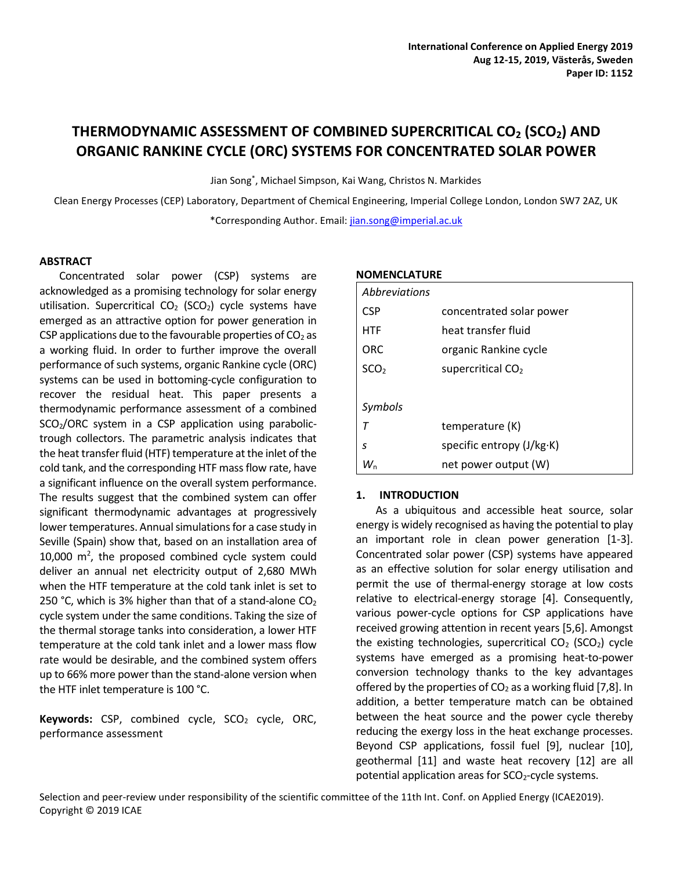# **THERMODYNAMIC ASSESSMENT OF COMBINED SUPERCRITICAL CO<sup>2</sup> (SCO2) AND ORGANIC RANKINE CYCLE (ORC) SYSTEMS FOR CONCENTRATED SOLAR POWER**

Jian Song\* , Michael Simpson, Kai Wang, Christos N. Markides

Clean Energy Processes (CEP) Laboratory, Department of Chemical Engineering, Imperial College London, London SW7 2AZ, UK \*Corresponding Author. Email[: jian.song@imperial.ac.uk](mailto:jian.song@imperial.ac.uk)

#### **ABSTRACT**

Concentrated solar power (CSP) systems are acknowledged as a promising technology for solar energy utilisation. Supercritical  $CO<sub>2</sub>$  (SCO<sub>2</sub>) cycle systems have emerged as an attractive option for power generation in CSP applications due to the favourable properties of  $CO<sub>2</sub>$  as a working fluid. In order to further improve the overall performance of such systems, organic Rankine cycle (ORC) systems can be used in bottoming-cycle configuration to recover the residual heat. This paper presents a thermodynamic performance assessment of a combined  $SCO<sub>2</sub>/ORC$  system in a CSP application using parabolictrough collectors. The parametric analysis indicates that the heat transfer fluid (HTF) temperature at the inlet of the cold tank, and the corresponding HTF mass flow rate, have a significant influence on the overall system performance. The results suggest that the combined system can offer significant thermodynamic advantages at progressively lower temperatures. Annual simulations for a case study in Seville (Spain) show that, based on an installation area of  $10,000$  m<sup>2</sup>, the proposed combined cycle system could deliver an annual net electricity output of 2,680 MWh when the HTF temperature at the cold tank inlet is set to 250 °C, which is 3% higher than that of a stand-alone  $CO<sub>2</sub>$ cycle system under the same conditions. Taking the size of the thermal storage tanks into consideration, a lower HTF temperature at the cold tank inlet and a lower mass flow rate would be desirable, and the combined system offers up to 66% more power than the stand-alone version when the HTF inlet temperature is 100 °C.

Keywords: CSP, combined cycle, SCO<sub>2</sub> cycle, ORC, performance assessment

#### **NOMENCLATURE**

| Abbreviations    |                               |
|------------------|-------------------------------|
| <b>CSP</b>       | concentrated solar power      |
| <b>HTF</b>       | heat transfer fluid           |
| ORC              | organic Rankine cycle         |
| SCO <sub>2</sub> | supercritical CO <sub>2</sub> |
|                  |                               |
| Symbols          |                               |
| $\tau$           | temperature (K)               |
| s                | specific entropy (J/kg·K)     |
| W.               | net power output (W)          |

## **1. INTRODUCTION**

As a ubiquitous and accessible heat source, solar energy is widely recognised as having the potential to play an important role in clean power generation [1-3]. Concentrated solar power (CSP) systems have appeared as an effective solution for solar energy utilisation and permit the use of thermal-energy storage at low costs relative to electrical-energy storage [\[4\].](#page-4-0) Consequently, various power-cycle options for CSP applications have received growing attention in recent years [5,6]. Amongst the existing technologies, supercritical  $CO<sub>2</sub>$  (SCO<sub>2</sub>) cycle systems have emerged as a promising heat-to-power conversion technology thanks to the key advantages offered by the properties of  $CO<sub>2</sub>$  as a working fluid [7,8]. In addition, a better temperature match can be obtained between the heat source and the power cycle thereby reducing the exergy loss in the heat exchange processes. Beyond CSP applications, fossil fuel [\[9\],](#page-5-0) nuclear [\[10\],](#page-5-1) geothermal [\[11\]](#page-5-2) and waste heat recovery [\[12\]](#page-5-3) are all potential application areas for  $SCO<sub>2</sub>$ -cycle systems.

Selection and peer-review under responsibility of the scientific committee of the 11th Int. Conf. on Applied Energy (ICAE2019). Copyright © 2019 ICAE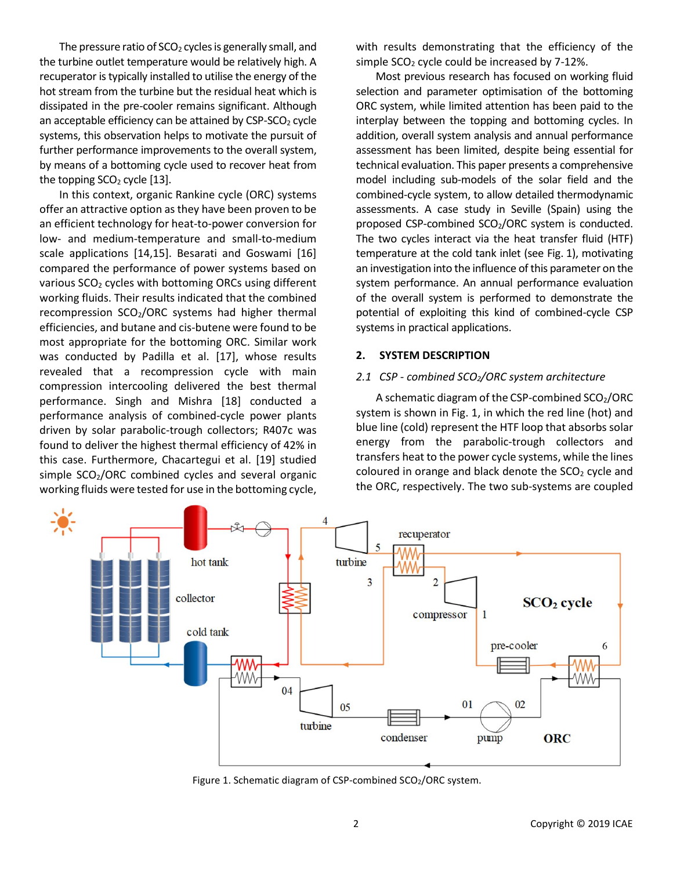The pressure ratio of  $SCO<sub>2</sub>$  cycles is generally small, and the turbine outlet temperature would be relatively high. A recuperator is typically installed to utilise the energy of the hot stream from the turbine but the residual heat which is dissipated in the pre-cooler remains significant. Although an acceptable efficiency can be attained by  $CSP-SCO<sub>2</sub>$  cycle systems, this observation helps to motivate the pursuit of further performance improvements to the overall system, by means of a bottoming cycle used to recover heat from the topping  $SCO<sub>2</sub>$  cycle [\[13\].](#page-5-4)

In this context, organic Rankine cycle (ORC) systems offer an attractive option as they have been proven to be an efficient technology for heat-to-power conversion for low- and medium-temperature and small-to-medium scale applications [14,15]. Besarati and Goswami [\[16\]](#page-5-5) compared the performance of power systems based on various SCO<sub>2</sub> cycles with bottoming ORCs using different working fluids. Their results indicated that the combined recompression  $SCO<sub>2</sub>/ORC$  systems had higher thermal efficiencies, and butane and cis-butene were found to be most appropriate for the bottoming ORC. Similar work was conducted by Padilla et al. [\[17\],](#page-5-6) whose results revealed that a recompression cycle with main compression intercooling delivered the best thermal performance. Singh and Mishra [\[18\]](#page-5-7) conducted a performance analysis of combined-cycle power plants driven by solar parabolic-trough collectors; R407c was found to deliver the highest thermal efficiency of 42% in this case. Furthermore, Chacartegui et al. [\[19\]](#page-5-8) studied simple SCO<sub>2</sub>/ORC combined cycles and several organic working fluids were tested for use in the bottoming cycle, with results demonstrating that the efficiency of the simple  $SCO<sub>2</sub>$  cycle could be increased by 7-12%.

Most previous research has focused on working fluid selection and parameter optimisation of the bottoming ORC system, while limited attention has been paid to the interplay between the topping and bottoming cycles. In addition, overall system analysis and annual performance assessment has been limited, despite being essential for technical evaluation. This paper presents a comprehensive model including sub-models of the solar field and the combined-cycle system, to allow detailed thermodynamic assessments. A case study in Seville (Spain) using the proposed CSP-combined SCO<sub>2</sub>/ORC system is conducted. The two cycles interact via the heat transfer fluid (HTF) temperature at the cold tank inlet (see Fig. 1), motivating an investigation into the influence of this parameter on the system performance. An annual performance evaluation of the overall system is performed to demonstrate the potential of exploiting this kind of combined-cycle CSP systems in practical applications.

## **2. SYSTEM DESCRIPTION**

#### *2.1 CSP - combined SCO2/ORC system architecture*

A schematic diagram of the CSP-combined SCO<sub>2</sub>/ORC system is shown in Fig. 1, in which the red line (hot) and blue line (cold) represent the HTF loop that absorbs solar energy from the parabolic-trough collectors and transfers heat to the power cycle systems, while the lines coloured in orange and black denote the  $SCO<sub>2</sub>$  cycle and the ORC, respectively. The two sub-systems are coupled



Figure 1. Schematic diagram of CSP-combined SCO<sub>2</sub>/ORC system.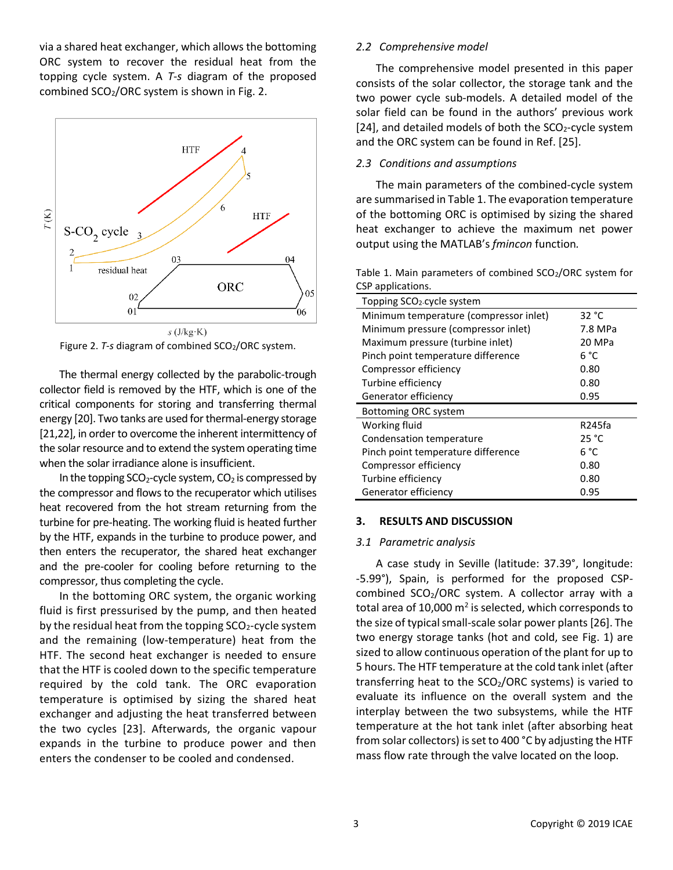via a shared heat exchanger, which allows the bottoming ORC system to recover the residual heat from the topping cycle system. A *T*-*s* diagram of the proposed combined SCO<sub>2</sub>/ORC system is shown in Fig. 2.



Figure 2. *T*-*s* diagram of combined SCO<sub>2</sub>/ORC system.

The thermal energy collected by the parabolic-trough collector field is removed by the HTF, which is one of the critical components for storing and transferring thermal energ[y \[20\].](#page-5-9) Two tanks are used for thermal-energy storage [21,22], in order to overcome the inherent intermittency of the solar resource and to extend the system operating time when the solar irradiance alone is insufficient.

In the topping  $SCO<sub>2</sub>$ -cycle system,  $CO<sub>2</sub>$  is compressed by the compressor and flows to the recuperator which utilises heat recovered from the hot stream returning from the turbine for pre-heating. The working fluid is heated further by the HTF, expands in the turbine to produce power, and then enters the recuperator, the shared heat exchanger and the pre-cooler for cooling before returning to the compressor, thus completing the cycle.

In the bottoming ORC system, the organic working fluid is first pressurised by the pump, and then heated by the residual heat from the topping  $SCO<sub>2</sub>$ -cycle system and the remaining (low-temperature) heat from the HTF. The second heat exchanger is needed to ensure that the HTF is cooled down to the specific temperature required by the cold tank. The ORC evaporation temperature is optimised by sizing the shared heat exchanger and adjusting the heat transferred between the two cycles [\[23\].](#page-5-10) Afterwards, the organic vapour expands in the turbine to produce power and then enters the condenser to be cooled and condensed.

## *2.2 Comprehensive model*

The comprehensive model presented in this paper consists of the solar collector, the storage tank and the two power cycle sub-models. A detailed model of the solar field can be found in the authors' previous work [\[24\],](#page-5-11) and detailed models of both the  $SCO<sub>2</sub>$ -cycle system and the ORC system can be found in Ref. [\[25\].](#page-5-12)

## *2.3 Conditions and assumptions*

The main parameters of the combined-cycle system are summarised in Table 1. The evaporation temperature of the bottoming ORC is optimised by sizing the shared heat exchanger to achieve the maximum net power output using the MATLAB's *fmincon* function*.*

Table 1. Main parameters of combined SCO<sub>2</sub>/ORC system for CSP applications.

| Topping SCO <sub>2</sub> -cycle system |                 |  |
|----------------------------------------|-----------------|--|
| Minimum temperature (compressor inlet) | 32 $^{\circ}$ C |  |
| Minimum pressure (compressor inlet)    | 7.8 MPa         |  |
| Maximum pressure (turbine inlet)       | 20 MPa          |  |
| Pinch point temperature difference     | 6 °C            |  |
| Compressor efficiency                  | 0.80            |  |
| Turbine efficiency                     | 0.80            |  |
| Generator efficiency                   | 0.95            |  |
| <b>Bottoming ORC system</b>            |                 |  |
| Working fluid                          | R245fa          |  |
| Condensation temperature               | 25 °C           |  |
| Pinch point temperature difference     | 6 °C            |  |
| Compressor efficiency                  | 0.80            |  |
| Turbine efficiency                     | 0.80            |  |
| Generator efficiency                   | 0.95            |  |

#### **3. RESULTS AND DISCUSSION**

#### *3.1 Parametric analysis*

A case study in Seville (latitude: 37.39°, longitude: -5.99°), Spain, is performed for the proposed CSPcombined  $SCO<sub>2</sub>/ORC$  system. A collector array with a total area of 10,000 m<sup>2</sup> is selected, which corresponds to the size of typical small-scale solar power plant[s \[26\].](#page-5-13) The two energy storage tanks (hot and cold, see Fig. 1) are sized to allow continuous operation of the plant for up to 5 hours. The HTF temperature at the cold tank inlet (after transferring heat to the SCO<sub>2</sub>/ORC systems) is varied to evaluate its influence on the overall system and the interplay between the two subsystems, while the HTF temperature at the hot tank inlet (after absorbing heat from solar collectors) is set to 400 °C by adjusting the HTF mass flow rate through the valve located on the loop.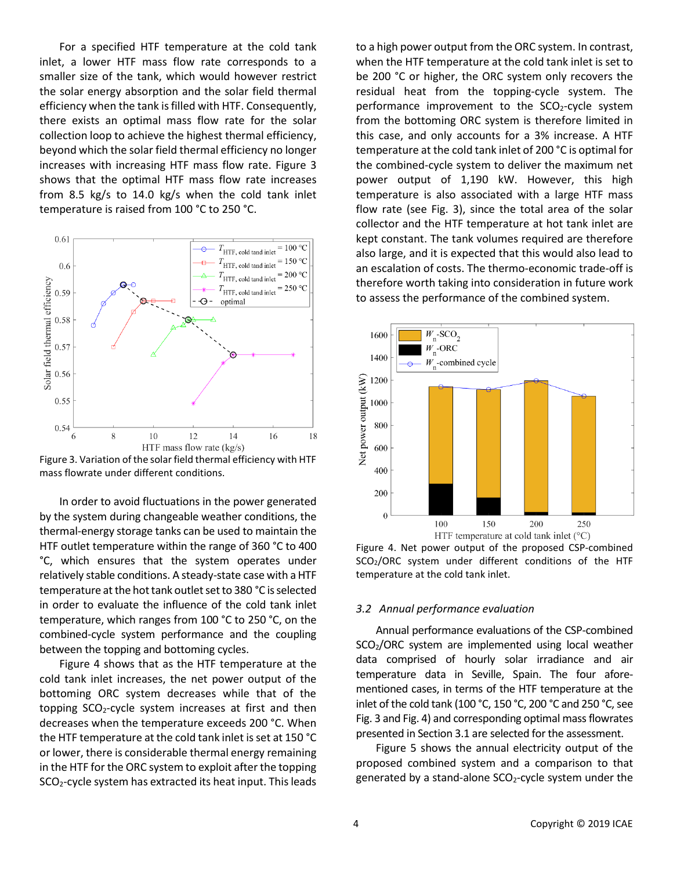For a specified HTF temperature at the cold tank inlet, a lower HTF mass flow rate corresponds to a smaller size of the tank, which would however restrict the solar energy absorption and the solar field thermal efficiency when the tank is filled with HTF. Consequently, there exists an optimal mass flow rate for the solar collection loop to achieve the highest thermal efficiency, beyond which the solar field thermal efficiency no longer increases with increasing HTF mass flow rate. Figure 3 shows that the optimal HTF mass flow rate increases from 8.5 kg/s to 14.0 kg/s when the cold tank inlet temperature is raised from 100 °C to 250 °C.



Figure 3. Variation of the solar field thermal efficiency with HTF mass flowrate under different conditions.

In order to avoid fluctuations in the power generated by the system during changeable weather conditions, the thermal-energy storage tanks can be used to maintain the HTF outlet temperature within the range of 360 °C to 400 °C, which ensures that the system operates under relatively stable conditions. A steady-state case with a HTF temperature at the hot tank outlet set to 380 °C is selected in order to evaluate the influence of the cold tank inlet temperature, which ranges from 100 °C to 250 °C, on the combined-cycle system performance and the coupling between the topping and bottoming cycles.

Figure 4 shows that as the HTF temperature at the cold tank inlet increases, the net power output of the bottoming ORC system decreases while that of the topping SCO<sub>2</sub>-cycle system increases at first and then decreases when the temperature exceeds 200 °C. When the HTF temperature at the cold tank inlet is set at 150 °C or lower, there is considerable thermal energy remaining in the HTF for the ORC system to exploit after the topping SCO2-cycle system has extracted its heat input. This leads

to a high power output from the ORC system. In contrast, when the HTF temperature at the cold tank inlet is set to be 200 °C or higher, the ORC system only recovers the residual heat from the topping-cycle system. The performance improvement to the SCO<sub>2</sub>-cycle system from the bottoming ORC system is therefore limited in this case, and only accounts for a 3% increase. A HTF temperature at the cold tank inlet of 200 °C is optimal for the combined-cycle system to deliver the maximum net power output of 1,190 kW. However, this high temperature is also associated with a large HTF mass flow rate (see Fig. 3), since the total area of the solar collector and the HTF temperature at hot tank inlet are kept constant. The tank volumes required are therefore also large, and it is expected that this would also lead to an escalation of costs. The thermo-economic trade-off is therefore worth taking into consideration in future work to assess the performance of the combined system.



Figure 4. Net power output of the proposed CSP-combined SCO2/ORC system under different conditions of the HTF temperature at the cold tank inlet.

### *3.2 Annual performance evaluation*

Annual performance evaluations of the CSP-combined SCO2/ORC system are implemented using local weather data comprised of hourly solar irradiance and air temperature data in Seville, Spain. The four aforementioned cases, in terms of the HTF temperature at the inlet of the cold tank (100 °C, 150 °C, 200 °C and 250 °C, see Fig. 3 and Fig. 4) and corresponding optimal mass flowrates presented in Section 3.1 are selected for the assessment.

Figure 5 shows the annual electricity output of the proposed combined system and a comparison to that generated by a stand-alone  $SCO<sub>2</sub>-cycle$  system under the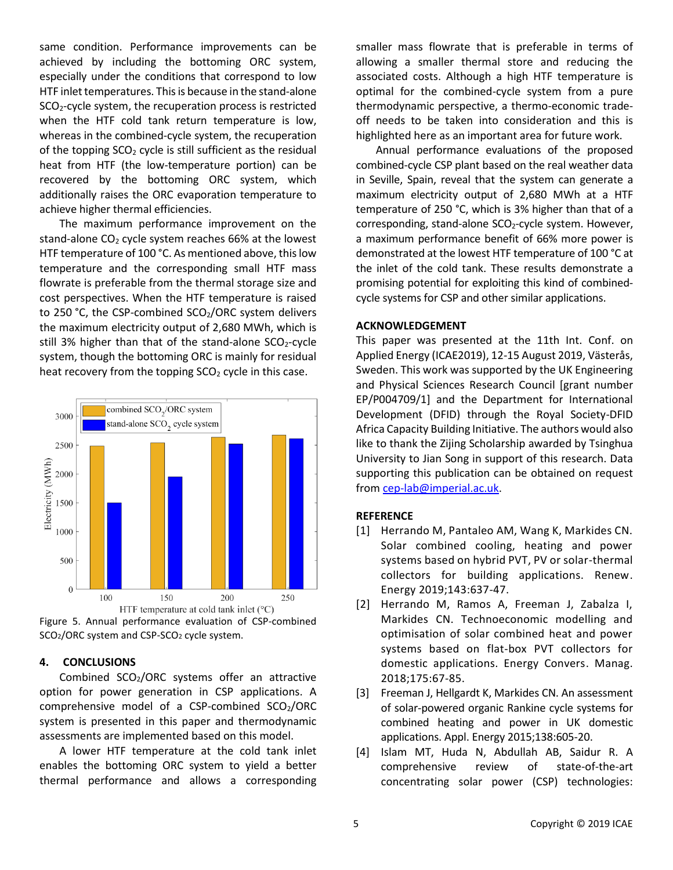same condition. Performance improvements can be achieved by including the bottoming ORC system, especially under the conditions that correspond to low HTF inlet temperatures. This is because in the stand-alone SCO2-cycle system, the recuperation process is restricted when the HTF cold tank return temperature is low, whereas in the combined-cycle system, the recuperation of the topping  $SCO<sub>2</sub>$  cycle is still sufficient as the residual heat from HTF (the low-temperature portion) can be recovered by the bottoming ORC system, which additionally raises the ORC evaporation temperature to achieve higher thermal efficiencies.

The maximum performance improvement on the stand-alone  $CO<sub>2</sub>$  cycle system reaches 66% at the lowest HTF temperature of 100 °C. As mentioned above, this low temperature and the corresponding small HTF mass flowrate is preferable from the thermal storage size and cost perspectives. When the HTF temperature is raised to 250 °C, the CSP-combined  $SCO<sub>2</sub>/ORC$  system delivers the maximum electricity output of 2,680 MWh, which is still 3% higher than that of the stand-alone  $SCO<sub>2</sub>$ -cycle system, though the bottoming ORC is mainly for residual heat recovery from the topping  $SCO<sub>2</sub>$  cycle in this case.



Figure 5. Annual performance evaluation of CSP-combined SCO<sub>2</sub>/ORC system and CSP-SCO<sub>2</sub> cycle system.

## **4. CONCLUSIONS**

Combined SCO<sub>2</sub>/ORC systems offer an attractive option for power generation in CSP applications. A comprehensive model of a CSP-combined SCO<sub>2</sub>/ORC system is presented in this paper and thermodynamic assessments are implemented based on this model.

A lower HTF temperature at the cold tank inlet enables the bottoming ORC system to yield a better thermal performance and allows a corresponding smaller mass flowrate that is preferable in terms of allowing a smaller thermal store and reducing the associated costs. Although a high HTF temperature is optimal for the combined-cycle system from a pure thermodynamic perspective, a thermo-economic tradeoff needs to be taken into consideration and this is highlighted here as an important area for future work.

Annual performance evaluations of the proposed combined-cycle CSP plant based on the real weather data in Seville, Spain, reveal that the system can generate a maximum electricity output of 2,680 MWh at a HTF temperature of 250 °C, which is 3% higher than that of a corresponding, stand-alone  $SCO<sub>2</sub>$ -cycle system. However, a maximum performance benefit of 66% more power is demonstrated at the lowest HTF temperature of 100 °C at the inlet of the cold tank. These results demonstrate a promising potential for exploiting this kind of combinedcycle systems for CSP and other similar applications.

## **ACKNOWLEDGEMENT**

This paper was presented at the 11th Int. Conf. on Applied Energy (ICAE2019), 12-15 August 2019, Västerås, Sweden. This work was supported by the UK Engineering and Physical Sciences Research Council [grant number EP/P004709/1] and the Department for International Development (DFID) through the Royal Society-DFID Africa Capacity Building Initiative. The authors would also like to thank the Zijing Scholarship awarded by Tsinghua University to Jian Song in support of this research. Data supporting this publication can be obtained on request from [cep-lab@imperial.ac.uk.](mailto:cep-lab@imperial.ac.uk)

# **REFERENCE**

- [1] Herrando M, Pantaleo AM, Wang K, Markides CN. Solar combined cooling, heating and power systems based on hybrid PVT, PV or solar-thermal collectors for building applications. Renew. Energy 2019;143:637-47.
- [2] Herrando M, Ramos A, Freeman J, Zabalza I, Markides CN. Technoeconomic modelling and optimisation of solar combined heat and power systems based on flat-box PVT collectors for domestic applications. Energy Convers. Manag. 2018;175:67-85.
- [3] Freeman J, Hellgardt K, Markides CN. An assessment of solar-powered organic Rankine cycle systems for combined heating and power in UK domestic applications. Appl. Energy 2015;138:605-20.
- <span id="page-4-0"></span>[4] Islam MT, Huda N, Abdullah AB, Saidur R. A comprehensive review of state-of-the-art concentrating solar power (CSP) technologies: